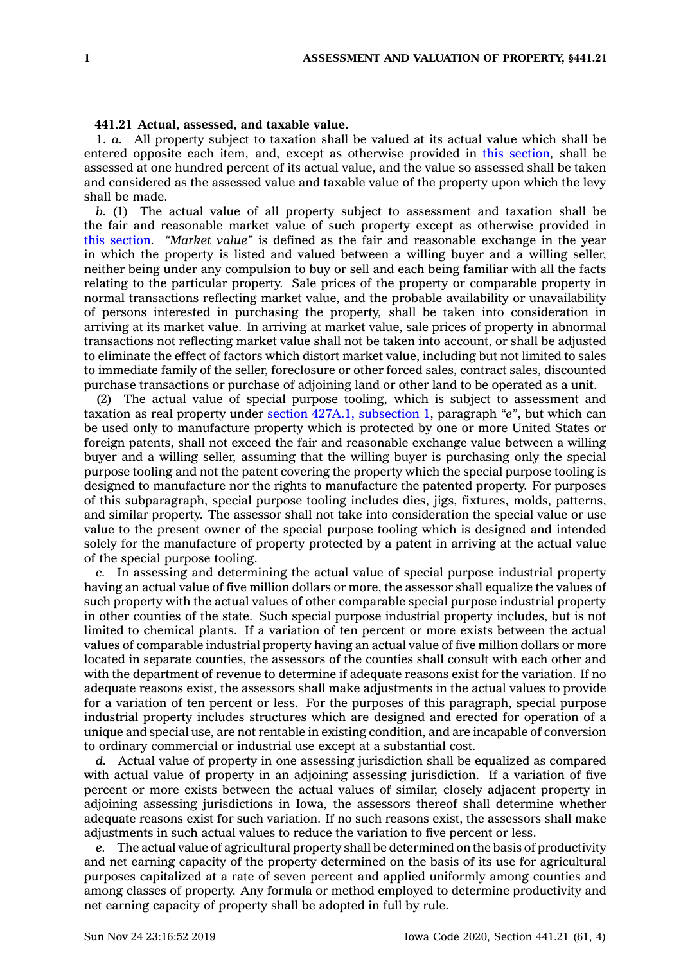## **441.21 Actual, assessed, and taxable value.**

1. *a.* All property subject to taxation shall be valued at its actual value which shall be entered opposite each item, and, except as otherwise provided in this [section](https://www.legis.iowa.gov/docs/code/441.21.pdf), shall be assessed at one hundred percent of its actual value, and the value so assessed shall be taken and considered as the assessed value and taxable value of the property upon which the levy shall be made.

*b.* (1) The actual value of all property subject to assessment and taxation shall be the fair and reasonable market value of such property except as otherwise provided in this [section](https://www.legis.iowa.gov/docs/code/441.21.pdf). *"Market value"* is defined as the fair and reasonable exchange in the year in which the property is listed and valued between <sup>a</sup> willing buyer and <sup>a</sup> willing seller, neither being under any compulsion to buy or sell and each being familiar with all the facts relating to the particular property. Sale prices of the property or comparable property in normal transactions reflecting market value, and the probable availability or unavailability of persons interested in purchasing the property, shall be taken into consideration in arriving at its market value. In arriving at market value, sale prices of property in abnormal transactions not reflecting market value shall not be taken into account, or shall be adjusted to eliminate the effect of factors which distort market value, including but not limited to sales to immediate family of the seller, foreclosure or other forced sales, contract sales, discounted purchase transactions or purchase of adjoining land or other land to be operated as <sup>a</sup> unit.

(2) The actual value of special purpose tooling, which is subject to assessment and taxation as real property under section 427A.1, [subsection](https://www.legis.iowa.gov/docs/code/427A.1.pdf) 1, paragraph *"e"*, but which can be used only to manufacture property which is protected by one or more United States or foreign patents, shall not exceed the fair and reasonable exchange value between <sup>a</sup> willing buyer and <sup>a</sup> willing seller, assuming that the willing buyer is purchasing only the special purpose tooling and not the patent covering the property which the special purpose tooling is designed to manufacture nor the rights to manufacture the patented property. For purposes of this subparagraph, special purpose tooling includes dies, jigs, fixtures, molds, patterns, and similar property. The assessor shall not take into consideration the special value or use value to the present owner of the special purpose tooling which is designed and intended solely for the manufacture of property protected by <sup>a</sup> patent in arriving at the actual value of the special purpose tooling.

*c.* In assessing and determining the actual value of special purpose industrial property having an actual value of five million dollars or more, the assessor shall equalize the values of such property with the actual values of other comparable special purpose industrial property in other counties of the state. Such special purpose industrial property includes, but is not limited to chemical plants. If <sup>a</sup> variation of ten percent or more exists between the actual values of comparable industrial property having an actual value of five million dollars or more located in separate counties, the assessors of the counties shall consult with each other and with the department of revenue to determine if adequate reasons exist for the variation. If no adequate reasons exist, the assessors shall make adjustments in the actual values to provide for <sup>a</sup> variation of ten percent or less. For the purposes of this paragraph, special purpose industrial property includes structures which are designed and erected for operation of <sup>a</sup> unique and special use, are not rentable in existing condition, and are incapable of conversion to ordinary commercial or industrial use except at <sup>a</sup> substantial cost.

*d.* Actual value of property in one assessing jurisdiction shall be equalized as compared with actual value of property in an adjoining assessing jurisdiction. If <sup>a</sup> variation of five percent or more exists between the actual values of similar, closely adjacent property in adjoining assessing jurisdictions in Iowa, the assessors thereof shall determine whether adequate reasons exist for such variation. If no such reasons exist, the assessors shall make adjustments in such actual values to reduce the variation to five percent or less.

*e.* The actual value of agricultural property shall be determined on the basis of productivity and net earning capacity of the property determined on the basis of its use for agricultural purposes capitalized at <sup>a</sup> rate of seven percent and applied uniformly among counties and among classes of property. Any formula or method employed to determine productivity and net earning capacity of property shall be adopted in full by rule.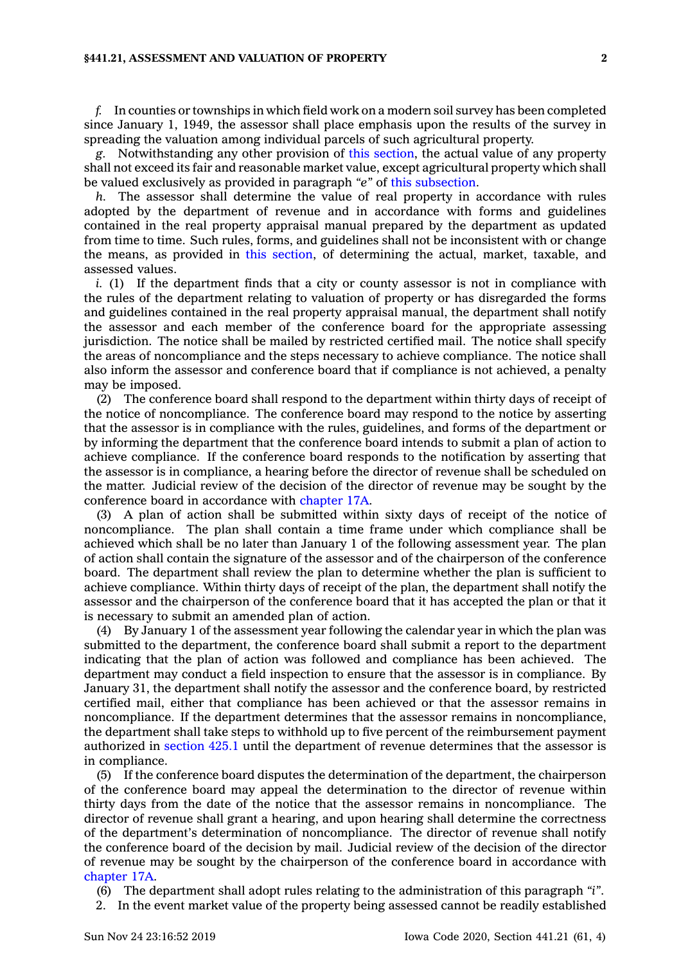## **§441.21, ASSESSMENT AND VALUATION OF PROPERTY 2**

*f.* In counties or townships in which field work on <sup>a</sup> modern soil survey has been completed since January 1, 1949, the assessor shall place emphasis upon the results of the survey in spreading the valuation among individual parcels of such agricultural property.

*g.* Notwithstanding any other provision of this [section](https://www.legis.iowa.gov/docs/code/441.21.pdf), the actual value of any property shall not exceed its fair and reasonable market value, except agricultural property which shall be valued exclusively as provided in paragraph *"e"* of this [subsection](https://www.legis.iowa.gov/docs/code/441.21.pdf).

*h.* The assessor shall determine the value of real property in accordance with rules adopted by the department of revenue and in accordance with forms and guidelines contained in the real property appraisal manual prepared by the department as updated from time to time. Such rules, forms, and guidelines shall not be inconsistent with or change the means, as provided in this [section](https://www.legis.iowa.gov/docs/code/441.21.pdf), of determining the actual, market, taxable, and assessed values.

*i.* (1) If the department finds that a city or county assessor is not in compliance with the rules of the department relating to valuation of property or has disregarded the forms and guidelines contained in the real property appraisal manual, the department shall notify the assessor and each member of the conference board for the appropriate assessing jurisdiction. The notice shall be mailed by restricted certified mail. The notice shall specify the areas of noncompliance and the steps necessary to achieve compliance. The notice shall also inform the assessor and conference board that if compliance is not achieved, <sup>a</sup> penalty may be imposed.

(2) The conference board shall respond to the department within thirty days of receipt of the notice of noncompliance. The conference board may respond to the notice by asserting that the assessor is in compliance with the rules, guidelines, and forms of the department or by informing the department that the conference board intends to submit <sup>a</sup> plan of action to achieve compliance. If the conference board responds to the notification by asserting that the assessor is in compliance, <sup>a</sup> hearing before the director of revenue shall be scheduled on the matter. Judicial review of the decision of the director of revenue may be sought by the conference board in accordance with [chapter](https://www.legis.iowa.gov/docs/code//17A.pdf) 17A.

(3) A plan of action shall be submitted within sixty days of receipt of the notice of noncompliance. The plan shall contain <sup>a</sup> time frame under which compliance shall be achieved which shall be no later than January 1 of the following assessment year. The plan of action shall contain the signature of the assessor and of the chairperson of the conference board. The department shall review the plan to determine whether the plan is sufficient to achieve compliance. Within thirty days of receipt of the plan, the department shall notify the assessor and the chairperson of the conference board that it has accepted the plan or that it is necessary to submit an amended plan of action.

(4) By January 1 of the assessment year following the calendar year in which the plan was submitted to the department, the conference board shall submit <sup>a</sup> report to the department indicating that the plan of action was followed and compliance has been achieved. The department may conduct <sup>a</sup> field inspection to ensure that the assessor is in compliance. By January 31, the department shall notify the assessor and the conference board, by restricted certified mail, either that compliance has been achieved or that the assessor remains in noncompliance. If the department determines that the assessor remains in noncompliance, the department shall take steps to withhold up to five percent of the reimbursement payment authorized in [section](https://www.legis.iowa.gov/docs/code/425.1.pdf) 425.1 until the department of revenue determines that the assessor is in compliance.

(5) If the conference board disputes the determination of the department, the chairperson of the conference board may appeal the determination to the director of revenue within thirty days from the date of the notice that the assessor remains in noncompliance. The director of revenue shall grant <sup>a</sup> hearing, and upon hearing shall determine the correctness of the department's determination of noncompliance. The director of revenue shall notify the conference board of the decision by mail. Judicial review of the decision of the director of revenue may be sought by the chairperson of the conference board in accordance with [chapter](https://www.legis.iowa.gov/docs/code//17A.pdf) 17A.

(6) The department shall adopt rules relating to the administration of this paragraph *"i"*.

2. In the event market value of the property being assessed cannot be readily established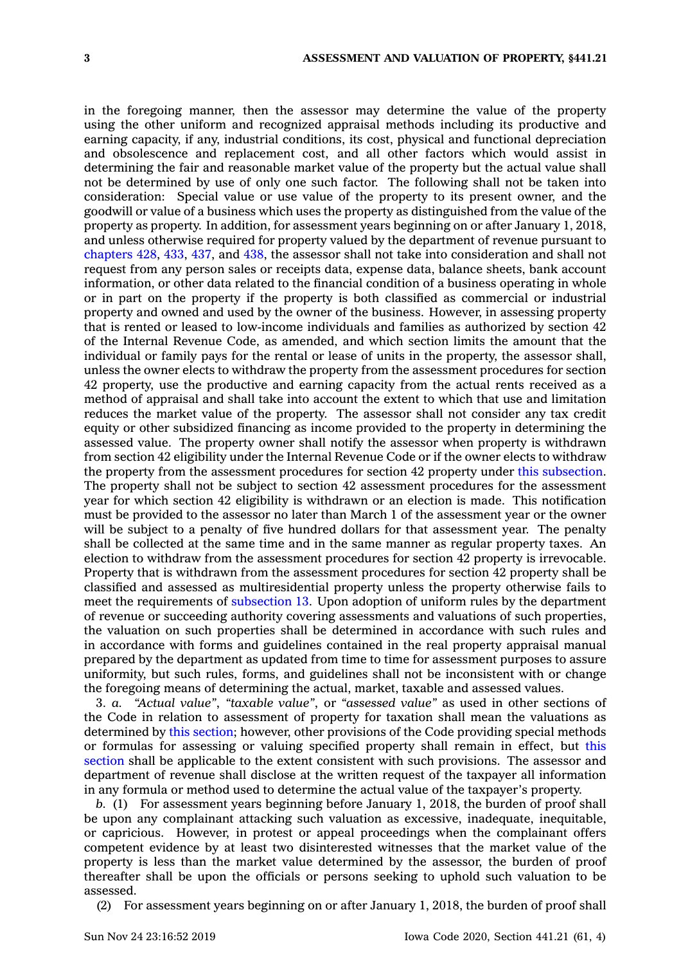in the foregoing manner, then the assessor may determine the value of the property using the other uniform and recognized appraisal methods including its productive and earning capacity, if any, industrial conditions, its cost, physical and functional depreciation and obsolescence and replacement cost, and all other factors which would assist in determining the fair and reasonable market value of the property but the actual value shall not be determined by use of only one such factor. The following shall not be taken into consideration: Special value or use value of the property to its present owner, and the goodwill or value of <sup>a</sup> business which uses the property as distinguished from the value of the property as property. In addition, for assessment years beginning on or after January 1, 2018, and unless otherwise required for property valued by the department of revenue pursuant to [chapters](https://www.legis.iowa.gov/docs/code//428.pdf) 428, [433](https://www.legis.iowa.gov/docs/code//433.pdf), [437](https://www.legis.iowa.gov/docs/code//437.pdf), and [438](https://www.legis.iowa.gov/docs/code//438.pdf), the assessor shall not take into consideration and shall not request from any person sales or receipts data, expense data, balance sheets, bank account information, or other data related to the financial condition of <sup>a</sup> business operating in whole or in part on the property if the property is both classified as commercial or industrial property and owned and used by the owner of the business. However, in assessing property that is rented or leased to low-income individuals and families as authorized by section 42 of the Internal Revenue Code, as amended, and which section limits the amount that the individual or family pays for the rental or lease of units in the property, the assessor shall, unless the owner elects to withdraw the property from the assessment procedures for section 42 property, use the productive and earning capacity from the actual rents received as <sup>a</sup> method of appraisal and shall take into account the extent to which that use and limitation reduces the market value of the property. The assessor shall not consider any tax credit equity or other subsidized financing as income provided to the property in determining the assessed value. The property owner shall notify the assessor when property is withdrawn from section 42 eligibility under the Internal Revenue Code or if the owner elects to withdraw the property from the assessment procedures for section 42 property under this [subsection](https://www.legis.iowa.gov/docs/code/441.21.pdf). The property shall not be subject to section 42 assessment procedures for the assessment year for which section 42 eligibility is withdrawn or an election is made. This notification must be provided to the assessor no later than March 1 of the assessment year or the owner will be subject to <sup>a</sup> penalty of five hundred dollars for that assessment year. The penalty shall be collected at the same time and in the same manner as regular property taxes. An election to withdraw from the assessment procedures for section 42 property is irrevocable. Property that is withdrawn from the assessment procedures for section 42 property shall be classified and assessed as multiresidential property unless the property otherwise fails to meet the requirements of [subsection](https://www.legis.iowa.gov/docs/code/441.21.pdf) 13. Upon adoption of uniform rules by the department of revenue or succeeding authority covering assessments and valuations of such properties, the valuation on such properties shall be determined in accordance with such rules and in accordance with forms and guidelines contained in the real property appraisal manual prepared by the department as updated from time to time for assessment purposes to assure uniformity, but such rules, forms, and guidelines shall not be inconsistent with or change the foregoing means of determining the actual, market, taxable and assessed values.

3. *a. "Actual value"*, *"taxable value"*, or *"assessed value"* as used in other sections of the Code in relation to assessment of property for taxation shall mean the valuations as determined by this [section](https://www.legis.iowa.gov/docs/code/441.21.pdf); however, other provisions of the Code providing special methods or formulas for assessing or valuing specified property shall remain in effect, but [this](https://www.legis.iowa.gov/docs/code/441.21.pdf) [section](https://www.legis.iowa.gov/docs/code/441.21.pdf) shall be applicable to the extent consistent with such provisions. The assessor and department of revenue shall disclose at the written request of the taxpayer all information in any formula or method used to determine the actual value of the taxpayer's property.

*b.* (1) For assessment years beginning before January 1, 2018, the burden of proof shall be upon any complainant attacking such valuation as excessive, inadequate, inequitable, or capricious. However, in protest or appeal proceedings when the complainant offers competent evidence by at least two disinterested witnesses that the market value of the property is less than the market value determined by the assessor, the burden of proof thereafter shall be upon the officials or persons seeking to uphold such valuation to be assessed.

(2) For assessment years beginning on or after January 1, 2018, the burden of proof shall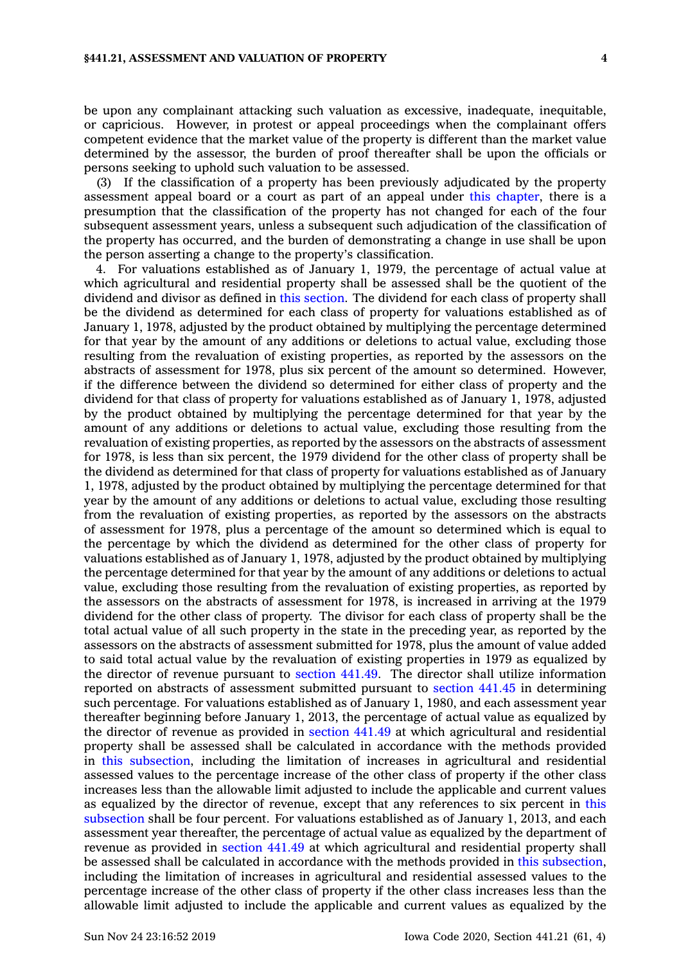## **§441.21, ASSESSMENT AND VALUATION OF PROPERTY 4**

be upon any complainant attacking such valuation as excessive, inadequate, inequitable, or capricious. However, in protest or appeal proceedings when the complainant offers competent evidence that the market value of the property is different than the market value determined by the assessor, the burden of proof thereafter shall be upon the officials or persons seeking to uphold such valuation to be assessed.

(3) If the classification of <sup>a</sup> property has been previously adjudicated by the property assessment appeal board or <sup>a</sup> court as part of an appeal under this [chapter](https://www.legis.iowa.gov/docs/code//441.pdf), there is <sup>a</sup> presumption that the classification of the property has not changed for each of the four subsequent assessment years, unless <sup>a</sup> subsequent such adjudication of the classification of the property has occurred, and the burden of demonstrating <sup>a</sup> change in use shall be upon the person asserting <sup>a</sup> change to the property's classification.

4. For valuations established as of January 1, 1979, the percentage of actual value at which agricultural and residential property shall be assessed shall be the quotient of the dividend and divisor as defined in this [section](https://www.legis.iowa.gov/docs/code/441.21.pdf). The dividend for each class of property shall be the dividend as determined for each class of property for valuations established as of January 1, 1978, adjusted by the product obtained by multiplying the percentage determined for that year by the amount of any additions or deletions to actual value, excluding those resulting from the revaluation of existing properties, as reported by the assessors on the abstracts of assessment for 1978, plus six percent of the amount so determined. However, if the difference between the dividend so determined for either class of property and the dividend for that class of property for valuations established as of January 1, 1978, adjusted by the product obtained by multiplying the percentage determined for that year by the amount of any additions or deletions to actual value, excluding those resulting from the revaluation of existing properties, as reported by the assessors on the abstracts of assessment for 1978, is less than six percent, the 1979 dividend for the other class of property shall be the dividend as determined for that class of property for valuations established as of January 1, 1978, adjusted by the product obtained by multiplying the percentage determined for that year by the amount of any additions or deletions to actual value, excluding those resulting from the revaluation of existing properties, as reported by the assessors on the abstracts of assessment for 1978, plus <sup>a</sup> percentage of the amount so determined which is equal to the percentage by which the dividend as determined for the other class of property for valuations established as of January 1, 1978, adjusted by the product obtained by multiplying the percentage determined for that year by the amount of any additions or deletions to actual value, excluding those resulting from the revaluation of existing properties, as reported by the assessors on the abstracts of assessment for 1978, is increased in arriving at the 1979 dividend for the other class of property. The divisor for each class of property shall be the total actual value of all such property in the state in the preceding year, as reported by the assessors on the abstracts of assessment submitted for 1978, plus the amount of value added to said total actual value by the revaluation of existing properties in 1979 as equalized by the director of revenue pursuant to [section](https://www.legis.iowa.gov/docs/code/441.49.pdf) 441.49. The director shall utilize information reported on abstracts of assessment submitted pursuant to [section](https://www.legis.iowa.gov/docs/code/441.45.pdf) 441.45 in determining such percentage. For valuations established as of January 1, 1980, and each assessment year thereafter beginning before January 1, 2013, the percentage of actual value as equalized by the director of revenue as provided in [section](https://www.legis.iowa.gov/docs/code/441.49.pdf) 441.49 at which agricultural and residential property shall be assessed shall be calculated in accordance with the methods provided in this [subsection](https://www.legis.iowa.gov/docs/code/441.21.pdf), including the limitation of increases in agricultural and residential assessed values to the percentage increase of the other class of property if the other class increases less than the allowable limit adjusted to include the applicable and current values as equalized by the director of revenue, except that any references to six percent in [this](https://www.legis.iowa.gov/docs/code/441.21.pdf) [subsection](https://www.legis.iowa.gov/docs/code/441.21.pdf) shall be four percent. For valuations established as of January 1, 2013, and each assessment year thereafter, the percentage of actual value as equalized by the department of revenue as provided in [section](https://www.legis.iowa.gov/docs/code/441.49.pdf) 441.49 at which agricultural and residential property shall be assessed shall be calculated in accordance with the methods provided in this [subsection](https://www.legis.iowa.gov/docs/code/441.21.pdf), including the limitation of increases in agricultural and residential assessed values to the percentage increase of the other class of property if the other class increases less than the allowable limit adjusted to include the applicable and current values as equalized by the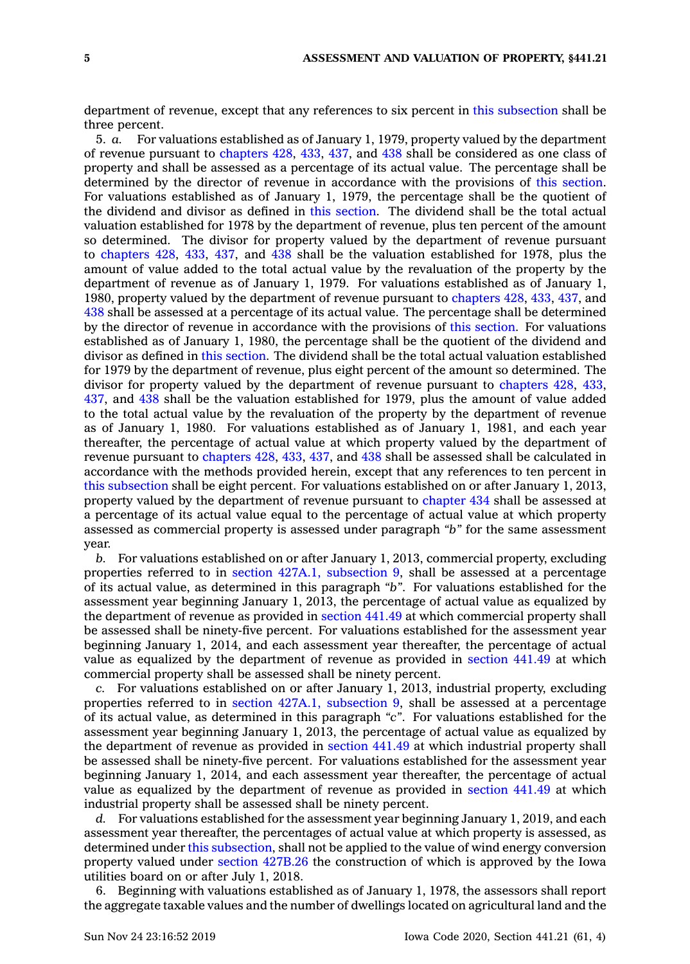department of revenue, except that any references to six percent in this [subsection](https://www.legis.iowa.gov/docs/code/441.21.pdf) shall be three percent.

5. *a.* For valuations established as of January 1, 1979, property valued by the department of revenue pursuant to [chapters](https://www.legis.iowa.gov/docs/code//428.pdf) 428, [433](https://www.legis.iowa.gov/docs/code//433.pdf), [437](https://www.legis.iowa.gov/docs/code//437.pdf), and [438](https://www.legis.iowa.gov/docs/code//438.pdf) shall be considered as one class of property and shall be assessed as <sup>a</sup> percentage of its actual value. The percentage shall be determined by the director of revenue in accordance with the provisions of this [section](https://www.legis.iowa.gov/docs/code/441.21.pdf). For valuations established as of January 1, 1979, the percentage shall be the quotient of the dividend and divisor as defined in this [section](https://www.legis.iowa.gov/docs/code/441.21.pdf). The dividend shall be the total actual valuation established for 1978 by the department of revenue, plus ten percent of the amount so determined. The divisor for property valued by the department of revenue pursuant to [chapters](https://www.legis.iowa.gov/docs/code//428.pdf) 428, [433](https://www.legis.iowa.gov/docs/code//433.pdf), [437](https://www.legis.iowa.gov/docs/code//437.pdf), and [438](https://www.legis.iowa.gov/docs/code//438.pdf) shall be the valuation established for 1978, plus the amount of value added to the total actual value by the revaluation of the property by the department of revenue as of January 1, 1979. For valuations established as of January 1, 1980, property valued by the department of revenue pursuant to [chapters](https://www.legis.iowa.gov/docs/code//428.pdf) 428, [433](https://www.legis.iowa.gov/docs/code//433.pdf), [437](https://www.legis.iowa.gov/docs/code//437.pdf), and [438](https://www.legis.iowa.gov/docs/code//438.pdf) shall be assessed at <sup>a</sup> percentage of its actual value. The percentage shall be determined by the director of revenue in accordance with the provisions of this [section](https://www.legis.iowa.gov/docs/code/441.21.pdf). For valuations established as of January 1, 1980, the percentage shall be the quotient of the dividend and divisor as defined in this [section](https://www.legis.iowa.gov/docs/code/441.21.pdf). The dividend shall be the total actual valuation established for 1979 by the department of revenue, plus eight percent of the amount so determined. The divisor for property valued by the department of revenue pursuant to [chapters](https://www.legis.iowa.gov/docs/code//428.pdf) 428, [433](https://www.legis.iowa.gov/docs/code//433.pdf), [437](https://www.legis.iowa.gov/docs/code//437.pdf), and [438](https://www.legis.iowa.gov/docs/code//438.pdf) shall be the valuation established for 1979, plus the amount of value added to the total actual value by the revaluation of the property by the department of revenue as of January 1, 1980. For valuations established as of January 1, 1981, and each year thereafter, the percentage of actual value at which property valued by the department of revenue pursuant to [chapters](https://www.legis.iowa.gov/docs/code//428.pdf) 428, [433](https://www.legis.iowa.gov/docs/code//433.pdf), [437](https://www.legis.iowa.gov/docs/code//437.pdf), and [438](https://www.legis.iowa.gov/docs/code//438.pdf) shall be assessed shall be calculated in accordance with the methods provided herein, except that any references to ten percent in this [subsection](https://www.legis.iowa.gov/docs/code/441.21.pdf) shall be eight percent. For valuations established on or after January 1, 2013, property valued by the department of revenue pursuant to [chapter](https://www.legis.iowa.gov/docs/code//434.pdf) 434 shall be assessed at <sup>a</sup> percentage of its actual value equal to the percentage of actual value at which property assessed as commercial property is assessed under paragraph *"b"* for the same assessment year.

*b.* For valuations established on or after January 1, 2013, commercial property, excluding properties referred to in section 427A.1, [subsection](https://www.legis.iowa.gov/docs/code/427A.1.pdf) 9, shall be assessed at <sup>a</sup> percentage of its actual value, as determined in this paragraph *"b"*. For valuations established for the assessment year beginning January 1, 2013, the percentage of actual value as equalized by the department of revenue as provided in [section](https://www.legis.iowa.gov/docs/code/441.49.pdf) 441.49 at which commercial property shall be assessed shall be ninety-five percent. For valuations established for the assessment year beginning January 1, 2014, and each assessment year thereafter, the percentage of actual value as equalized by the department of revenue as provided in [section](https://www.legis.iowa.gov/docs/code/441.49.pdf) 441.49 at which commercial property shall be assessed shall be ninety percent.

*c.* For valuations established on or after January 1, 2013, industrial property, excluding properties referred to in section 427A.1, [subsection](https://www.legis.iowa.gov/docs/code/427A.1.pdf) 9, shall be assessed at <sup>a</sup> percentage of its actual value, as determined in this paragraph *"c"*. For valuations established for the assessment year beginning January 1, 2013, the percentage of actual value as equalized by the department of revenue as provided in [section](https://www.legis.iowa.gov/docs/code/441.49.pdf) 441.49 at which industrial property shall be assessed shall be ninety-five percent. For valuations established for the assessment year beginning January 1, 2014, and each assessment year thereafter, the percentage of actual value as equalized by the department of revenue as provided in [section](https://www.legis.iowa.gov/docs/code/441.49.pdf) 441.49 at which industrial property shall be assessed shall be ninety percent.

*d.* For valuations established for the assessment year beginning January 1, 2019, and each assessment year thereafter, the percentages of actual value at which property is assessed, as determined under this [subsection](https://www.legis.iowa.gov/docs/code/441.21.pdf), shall not be applied to the value of wind energy conversion property valued under section [427B.26](https://www.legis.iowa.gov/docs/code/427B.26.pdf) the construction of which is approved by the Iowa utilities board on or after July 1, 2018.

6. Beginning with valuations established as of January 1, 1978, the assessors shall report the aggregate taxable values and the number of dwellings located on agricultural land and the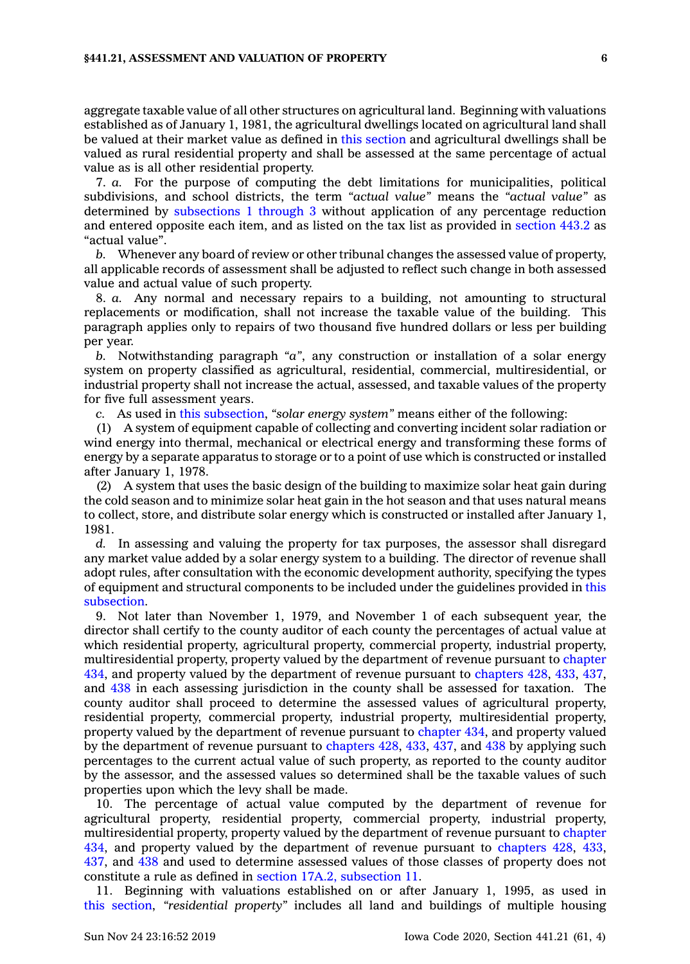aggregate taxable value of all other structures on agricultural land. Beginning with valuations established as of January 1, 1981, the agricultural dwellings located on agricultural land shall be valued at their market value as defined in this [section](https://www.legis.iowa.gov/docs/code/441.21.pdf) and agricultural dwellings shall be valued as rural residential property and shall be assessed at the same percentage of actual value as is all other residential property.

7. *a.* For the purpose of computing the debt limitations for municipalities, political subdivisions, and school districts, the term *"actual value"* means the *"actual value"* as determined by [subsections](https://www.legis.iowa.gov/docs/code/441.21.pdf) 1 through 3 without application of any percentage reduction and entered opposite each item, and as listed on the tax list as provided in [section](https://www.legis.iowa.gov/docs/code/443.2.pdf) 443.2 as "actual value".

*b.* Whenever any board of review or other tribunal changes the assessed value of property, all applicable records of assessment shall be adjusted to reflect such change in both assessed value and actual value of such property.

8. *a.* Any normal and necessary repairs to <sup>a</sup> building, not amounting to structural replacements or modification, shall not increase the taxable value of the building. This paragraph applies only to repairs of two thousand five hundred dollars or less per building per year.

*b.* Notwithstanding paragraph *"a"*, any construction or installation of <sup>a</sup> solar energy system on property classified as agricultural, residential, commercial, multiresidential, or industrial property shall not increase the actual, assessed, and taxable values of the property for five full assessment years.

*c.* As used in this [subsection](https://www.legis.iowa.gov/docs/code/441.21.pdf), *"solar energy system"* means either of the following:

(1) A system of equipment capable of collecting and converting incident solar radiation or wind energy into thermal, mechanical or electrical energy and transforming these forms of energy by <sup>a</sup> separate apparatus to storage or to <sup>a</sup> point of use which is constructed or installed after January 1, 1978.

(2) A system that uses the basic design of the building to maximize solar heat gain during the cold season and to minimize solar heat gain in the hot season and that uses natural means to collect, store, and distribute solar energy which is constructed or installed after January 1, 1981.

*d.* In assessing and valuing the property for tax purposes, the assessor shall disregard any market value added by <sup>a</sup> solar energy system to <sup>a</sup> building. The director of revenue shall adopt rules, after consultation with the economic development authority, specifying the types of equipment and structural components to be included under the guidelines provided in [this](https://www.legis.iowa.gov/docs/code/441.21.pdf) [subsection](https://www.legis.iowa.gov/docs/code/441.21.pdf).

9. Not later than November 1, 1979, and November 1 of each subsequent year, the director shall certify to the county auditor of each county the percentages of actual value at which residential property, agricultural property, commercial property, industrial property, multiresidential property, property valued by the department of revenue pursuant to [chapter](https://www.legis.iowa.gov/docs/code//434.pdf) [434](https://www.legis.iowa.gov/docs/code//434.pdf), and property valued by the department of revenue pursuant to [chapters](https://www.legis.iowa.gov/docs/code//428.pdf) 428, [433](https://www.legis.iowa.gov/docs/code//433.pdf), [437](https://www.legis.iowa.gov/docs/code//437.pdf), and [438](https://www.legis.iowa.gov/docs/code//438.pdf) in each assessing jurisdiction in the county shall be assessed for taxation. The county auditor shall proceed to determine the assessed values of agricultural property, residential property, commercial property, industrial property, multiresidential property, property valued by the department of revenue pursuant to [chapter](https://www.legis.iowa.gov/docs/code//434.pdf) 434, and property valued by the department of revenue pursuant to [chapters](https://www.legis.iowa.gov/docs/code//428.pdf) 428, [433](https://www.legis.iowa.gov/docs/code//433.pdf), [437](https://www.legis.iowa.gov/docs/code//437.pdf), and [438](https://www.legis.iowa.gov/docs/code//438.pdf) by applying such percentages to the current actual value of such property, as reported to the county auditor by the assessor, and the assessed values so determined shall be the taxable values of such properties upon which the levy shall be made.

10. The percentage of actual value computed by the department of revenue for agricultural property, residential property, commercial property, industrial property, multiresidential property, property valued by the department of revenue pursuant to [chapter](https://www.legis.iowa.gov/docs/code//434.pdf) [434](https://www.legis.iowa.gov/docs/code//434.pdf), and property valued by the department of revenue pursuant to [chapters](https://www.legis.iowa.gov/docs/code//428.pdf) 428, [433](https://www.legis.iowa.gov/docs/code//433.pdf), [437](https://www.legis.iowa.gov/docs/code//437.pdf), and [438](https://www.legis.iowa.gov/docs/code//438.pdf) and used to determine assessed values of those classes of property does not constitute <sup>a</sup> rule as defined in section 17A.2, [subsection](https://www.legis.iowa.gov/docs/code/17A.2.pdf) 11.

11. Beginning with valuations established on or after January 1, 1995, as used in this [section](https://www.legis.iowa.gov/docs/code/441.21.pdf), *"residential property"* includes all land and buildings of multiple housing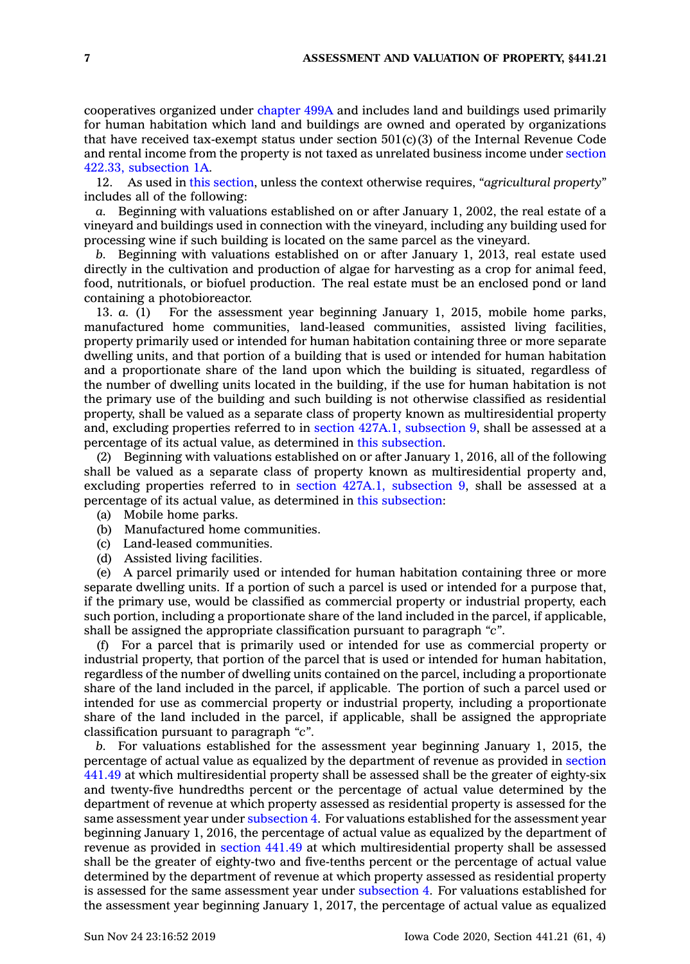cooperatives organized under [chapter](https://www.legis.iowa.gov/docs/code//499A.pdf) 499A and includes land and buildings used primarily for human habitation which land and buildings are owned and operated by organizations that have received tax-exempt status under section  $501(c)(3)$  of the Internal Revenue Code and rental income from the property is not taxed as unrelated business income under [section](https://www.legis.iowa.gov/docs/code/422.33.pdf) 422.33, [subsection](https://www.legis.iowa.gov/docs/code/422.33.pdf) 1A.

12. As used in this [section](https://www.legis.iowa.gov/docs/code/441.21.pdf), unless the context otherwise requires, *"agricultural property"* includes all of the following:

*a.* Beginning with valuations established on or after January 1, 2002, the real estate of <sup>a</sup> vineyard and buildings used in connection with the vineyard, including any building used for processing wine if such building is located on the same parcel as the vineyard.

*b.* Beginning with valuations established on or after January 1, 2013, real estate used directly in the cultivation and production of algae for harvesting as <sup>a</sup> crop for animal feed, food, nutritionals, or biofuel production. The real estate must be an enclosed pond or land containing <sup>a</sup> photobioreactor.

13. *a.* (1) For the assessment year beginning January 1, 2015, mobile home parks, manufactured home communities, land-leased communities, assisted living facilities, property primarily used or intended for human habitation containing three or more separate dwelling units, and that portion of <sup>a</sup> building that is used or intended for human habitation and <sup>a</sup> proportionate share of the land upon which the building is situated, regardless of the number of dwelling units located in the building, if the use for human habitation is not the primary use of the building and such building is not otherwise classified as residential property, shall be valued as <sup>a</sup> separate class of property known as multiresidential property and, excluding properties referred to in section 427A.1, [subsection](https://www.legis.iowa.gov/docs/code/427A.1.pdf) 9, shall be assessed at <sup>a</sup> percentage of its actual value, as determined in this [subsection](https://www.legis.iowa.gov/docs/code/441.21.pdf).

(2) Beginning with valuations established on or after January 1, 2016, all of the following shall be valued as <sup>a</sup> separate class of property known as multiresidential property and, excluding properties referred to in section 427A.1, [subsection](https://www.legis.iowa.gov/docs/code/427A.1.pdf) 9, shall be assessed at <sup>a</sup> percentage of its actual value, as determined in this [subsection](https://www.legis.iowa.gov/docs/code/441.21.pdf):

- (a) Mobile home parks.
- (b) Manufactured home communities.
- (c) Land-leased communities.
- (d) Assisted living facilities.

(e) A parcel primarily used or intended for human habitation containing three or more separate dwelling units. If <sup>a</sup> portion of such <sup>a</sup> parcel is used or intended for <sup>a</sup> purpose that, if the primary use, would be classified as commercial property or industrial property, each such portion, including <sup>a</sup> proportionate share of the land included in the parcel, if applicable, shall be assigned the appropriate classification pursuant to paragraph *"c"*.

(f) For <sup>a</sup> parcel that is primarily used or intended for use as commercial property or industrial property, that portion of the parcel that is used or intended for human habitation, regardless of the number of dwelling units contained on the parcel, including <sup>a</sup> proportionate share of the land included in the parcel, if applicable. The portion of such <sup>a</sup> parcel used or intended for use as commercial property or industrial property, including <sup>a</sup> proportionate share of the land included in the parcel, if applicable, shall be assigned the appropriate classification pursuant to paragraph *"c"*.

*b.* For valuations established for the assessment year beginning January 1, 2015, the percentage of actual value as equalized by the department of revenue as provided in [section](https://www.legis.iowa.gov/docs/code/441.49.pdf) [441.49](https://www.legis.iowa.gov/docs/code/441.49.pdf) at which multiresidential property shall be assessed shall be the greater of eighty-six and twenty-five hundredths percent or the percentage of actual value determined by the department of revenue at which property assessed as residential property is assessed for the same assessment year under [subsection](https://www.legis.iowa.gov/docs/code/441.21.pdf) 4. For valuations established for the assessment year beginning January 1, 2016, the percentage of actual value as equalized by the department of revenue as provided in [section](https://www.legis.iowa.gov/docs/code/441.49.pdf) 441.49 at which multiresidential property shall be assessed shall be the greater of eighty-two and five-tenths percent or the percentage of actual value determined by the department of revenue at which property assessed as residential property is assessed for the same assessment year under [subsection](https://www.legis.iowa.gov/docs/code/441.21.pdf) 4. For valuations established for the assessment year beginning January 1, 2017, the percentage of actual value as equalized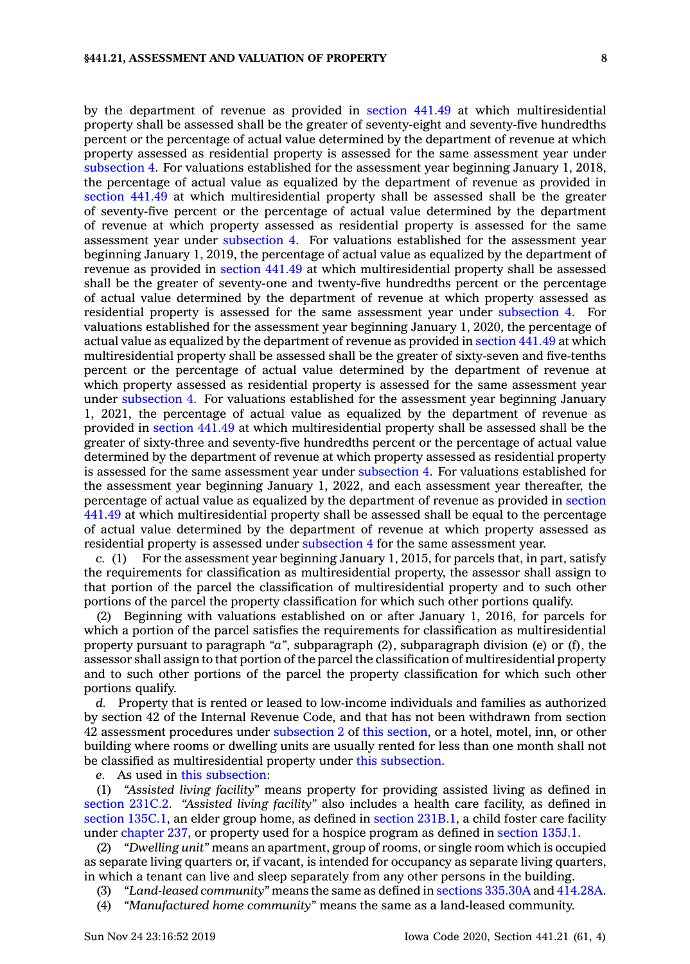by the department of revenue as provided in [section](https://www.legis.iowa.gov/docs/code/441.49.pdf) 441.49 at which multiresidential property shall be assessed shall be the greater of seventy-eight and seventy-five hundredths percent or the percentage of actual value determined by the department of revenue at which property assessed as residential property is assessed for the same assessment year under [subsection](https://www.legis.iowa.gov/docs/code/441.21.pdf) 4. For valuations established for the assessment year beginning January 1, 2018, the percentage of actual value as equalized by the department of revenue as provided in [section](https://www.legis.iowa.gov/docs/code/441.49.pdf) 441.49 at which multiresidential property shall be assessed shall be the greater of seventy-five percent or the percentage of actual value determined by the department of revenue at which property assessed as residential property is assessed for the same assessment year under [subsection](https://www.legis.iowa.gov/docs/code/441.21.pdf) 4. For valuations established for the assessment year beginning January 1, 2019, the percentage of actual value as equalized by the department of revenue as provided in [section](https://www.legis.iowa.gov/docs/code/441.49.pdf) 441.49 at which multiresidential property shall be assessed shall be the greater of seventy-one and twenty-five hundredths percent or the percentage of actual value determined by the department of revenue at which property assessed as residential property is assessed for the same assessment year under [subsection](https://www.legis.iowa.gov/docs/code/441.21.pdf) 4. For valuations established for the assessment year beginning January 1, 2020, the percentage of actual value as equalized by the department of revenue as provided in [section](https://www.legis.iowa.gov/docs/code/441.49.pdf) 441.49 at which multiresidential property shall be assessed shall be the greater of sixty-seven and five-tenths percent or the percentage of actual value determined by the department of revenue at which property assessed as residential property is assessed for the same assessment year under [subsection](https://www.legis.iowa.gov/docs/code/441.21.pdf) 4. For valuations established for the assessment year beginning January 1, 2021, the percentage of actual value as equalized by the department of revenue as provided in [section](https://www.legis.iowa.gov/docs/code/441.49.pdf) 441.49 at which multiresidential property shall be assessed shall be the greater of sixty-three and seventy-five hundredths percent or the percentage of actual value determined by the department of revenue at which property assessed as residential property is assessed for the same assessment year under [subsection](https://www.legis.iowa.gov/docs/code/441.21.pdf) 4. For valuations established for the assessment year beginning January 1, 2022, and each assessment year thereafter, the percentage of actual value as equalized by the department of revenue as provided in [section](https://www.legis.iowa.gov/docs/code/441.49.pdf) [441.49](https://www.legis.iowa.gov/docs/code/441.49.pdf) at which multiresidential property shall be assessed shall be equal to the percentage of actual value determined by the department of revenue at which property assessed as residential property is assessed under [subsection](https://www.legis.iowa.gov/docs/code/441.21.pdf) 4 for the same assessment year.

*c.* (1) For the assessment year beginning January 1, 2015, for parcels that, in part, satisfy the requirements for classification as multiresidential property, the assessor shall assign to that portion of the parcel the classification of multiresidential property and to such other portions of the parcel the property classification for which such other portions qualify.

(2) Beginning with valuations established on or after January 1, 2016, for parcels for which <sup>a</sup> portion of the parcel satisfies the requirements for classification as multiresidential property pursuant to paragraph *"a"*, subparagraph (2), subparagraph division (e) or (f), the assessor shall assign to that portion of the parcel the classification of multiresidential property and to such other portions of the parcel the property classification for which such other portions qualify.

*d.* Property that is rented or leased to low-income individuals and families as authorized by section 42 of the Internal Revenue Code, and that has not been withdrawn from section 42 assessment procedures under [subsection](https://www.legis.iowa.gov/docs/code/441.21.pdf) 2 of this [section](https://www.legis.iowa.gov/docs/code/441.21.pdf), or <sup>a</sup> hotel, motel, inn, or other building where rooms or dwelling units are usually rented for less than one month shall not be classified as multiresidential property under this [subsection](https://www.legis.iowa.gov/docs/code/441.21.pdf).

*e.* As used in this [subsection](https://www.legis.iowa.gov/docs/code/441.21.pdf):

(1) *"Assisted living facility"* means property for providing assisted living as defined in [section](https://www.legis.iowa.gov/docs/code/231C.2.pdf) 231C.2. *"Assisted living facility"* also includes <sup>a</sup> health care facility, as defined in section [135C.1](https://www.legis.iowa.gov/docs/code/135C.1.pdf), an elder group home, as defined in section [231B.1](https://www.legis.iowa.gov/docs/code/231B.1.pdf), <sup>a</sup> child foster care facility under [chapter](https://www.legis.iowa.gov/docs/code//237.pdf) 237, or property used for <sup>a</sup> hospice program as defined in [section](https://www.legis.iowa.gov/docs/code/135J.1.pdf) 135J.1.

(2) *"Dwelling unit"* means an apartment, group of rooms, or single room which is occupied as separate living quarters or, if vacant, is intended for occupancy as separate living quarters, in which <sup>a</sup> tenant can live and sleep separately from any other persons in the building.

- (3) *"Land-leased community"* means the same as defined in sections [335.30A](https://www.legis.iowa.gov/docs/code/335.30A.pdf) and [414.28A](https://www.legis.iowa.gov/docs/code/414.28A.pdf).
- (4) *"Manufactured home community"* means the same as <sup>a</sup> land-leased community.